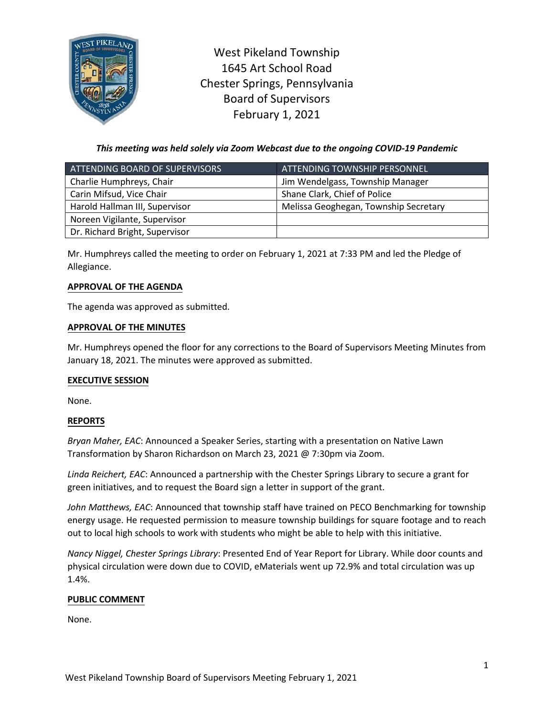

West Pikeland Township 1645 Art School Road Chester Springs, Pennsylvania Board of Supervisors February 1, 2021

*This meeting was held solely via Zoom Webcast due to the ongoing COVID-19 Pandemic*

| ATTENDING BOARD OF SUPERVISORS | <u>ATTENDING TOWNSHIP PERSONNEL,</u>  |
|--------------------------------|---------------------------------------|
| Charlie Humphreys, Chair       | Jim Wendelgass, Township Manager      |
| Carin Mifsud, Vice Chair       | Shane Clark, Chief of Police          |
| Harold Hallman III, Supervisor | Melissa Geoghegan, Township Secretary |
| Noreen Vigilante, Supervisor   |                                       |
| Dr. Richard Bright, Supervisor |                                       |

Mr. Humphreys called the meeting to order on February 1, 2021 at 7:33 PM and led the Pledge of Allegiance.

# **APPROVAL OF THE AGENDA**

The agenda was approved as submitted.

### **APPROVAL OF THE MINUTES**

Mr. Humphreys opened the floor for any corrections to the Board of Supervisors Meeting Minutes from January 18, 2021. The minutes were approved as submitted.

### **EXECUTIVE SESSION**

None.

# **REPORTS**

*Bryan Maher, EAC*: Announced a Speaker Series, starting with a presentation on Native Lawn Transformation by Sharon Richardson on March 23, 2021 @ 7:30pm via Zoom.

*Linda Reichert, EAC*: Announced a partnership with the Chester Springs Library to secure a grant for green initiatives, and to request the Board sign a letter in support of the grant.

*John Matthews, EAC*: Announced that township staff have trained on PECO Benchmarking for township energy usage. He requested permission to measure township buildings for square footage and to reach out to local high schools to work with students who might be able to help with this initiative.

*Nancy Niggel, Chester Springs Library*: Presented End of Year Report for Library. While door counts and physical circulation were down due to COVID, eMaterials went up 72.9% and total circulation was up 1.4%.

# **PUBLIC COMMENT**

None.